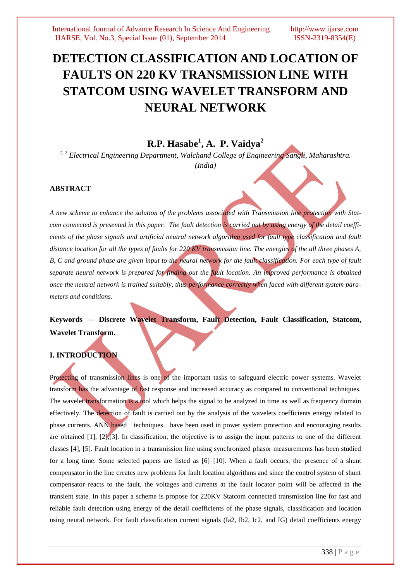# **DETECTION CLASSIFICATION AND LOCATION OF FAULTS ON 220 KV TRANSMISSION LINE WITH STATCOM USING WAVELET TRANSFORM AND NEURAL NETWORK**

# **R.P. Hasabe<sup>1</sup> , A. P. Vaidya<sup>2</sup>**

*1, 2 Electrical Engineering Department, Walchand College of Engineering Sangli, Maharashtra. (India)*

### **ABSTRACT**

*A new scheme to enhance the solution of the problems associated with Transmission line protection with Statcom connected is presented in this paper. The fault detection is carried out by using energy of the detail coefficients of the phase signals and artificial neutral network algorithm used for fault type classification and fault distance location for all the types of faults for 220 KV transmission line. The energies of the all three phases A, B, C and ground phase are given input to the neural network for the fault classification. For each type of fault separate neural network is prepared for finding out the fault location. An improved performance is obtained once the neutral network is trained suitably, thus performance correctly when faced with different system parameters and conditions.*

**Keywords — Discrete Wavelet Transform, Fault Detection, Fault Classification, Statcom, Wavelet Transform.**

## **I. INTRODUCTION**

Protecting of transmission lines is one of the important tasks to safeguard electric power systems. Wavelet transform has the advantage of fast response and increased accuracy as compared to conventional techniques. The wavelet transformation is a tool which helps the signal to be analyzed in time as well as frequency domain effectively. The detection of fault is carried out by the analysis of the wavelets coefficients energy related to phase currents. ANN based techniques have been used in power system protection and encouraging results are obtained [1], [2],[3]. In classification, the objective is to assign the input patterns to one of the different classes [4], [5]. Fault location in a transmission line using synchronized phasor measurements has been studied for a long time. Some selected papers are listed as [6]–[10]. When a fault occurs, the presence of a shunt compensator in the line creates new problems for fault location algorithms and since the control system of shunt compensator reacts to the fault, the voltages and currents at the fault locator point will be affected in the transient state. In this paper a scheme is propose for 220KV Statcom connected transmission line for fast and reliable fault detection using energy of the detail coefficients of the phase signals, classification and location using neural network. For fault classification current signals (Ia2, Ib2, Ic2, and IG) detail coefficients energy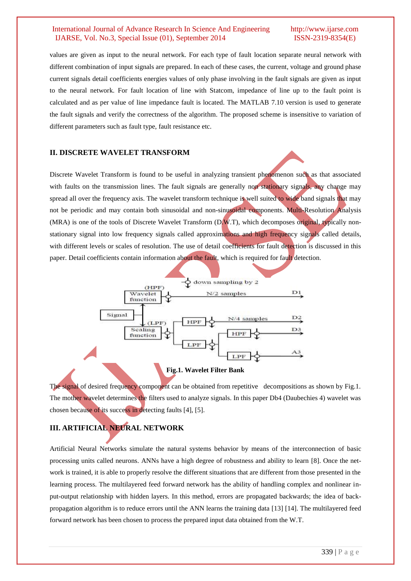values are given as input to the neural network. For each type of fault location separate neural network with different combination of input signals are prepared. In each of these cases, the current, voltage and ground phase current signals detail coefficients energies values of only phase involving in the fault signals are given as input to the neural network. For fault location of line with Statcom, impedance of line up to the fault point is calculated and as per value of line impedance fault is located. The MATLAB 7.10 version is used to generate the fault signals and verify the correctness of the algorithm. The proposed scheme is insensitive to variation of different parameters such as fault type, fault resistance etc.

#### **II. DISCRETE WAVELET TRANSFORM**

Discrete Wavelet Transform is found to be useful in analyzing transient phenomenon such as that associated with faults on the transmission lines. The fault signals are generally non stationary signals, any change may spread all over the frequency axis. The wavelet transform technique is well suited to wide band signals that may not be periodic and may contain both sinusoidal and non-sinusoidal components. Multi-Resolution Analysis (MRA) is one of the tools of Discrete Wavelet Transform (D.W.T), which decomposes original, typically nonstationary signal into low frequency signals called approximations and high frequency signals called details, with different levels or scales of resolution. The use of detail coefficients for fault detection is discussed in this paper. Detail coefficients contain information about the fault, which is required for fault detection.



**Fig.1. Wavelet Filter Bank**

The signal of desired frequency component can be obtained from repetitive decompositions as shown by Fig.1. The mother wavelet determines the filters used to analyze signals. In this paper Db4 (Daubechies 4) wavelet was chosen because of its success in detecting faults [4], [5].

# **III. ARTIFICIAL NEURAL NETWORK**

Artificial Neural Networks simulate the natural systems behavior by means of the interconnection of basic processing units called neurons. ANNs have a high degree of robustness and ability to learn [8]. Once the network is trained, it is able to properly resolve the different situations that are different from those presented in the learning process. The multilayered feed forward network has the ability of handling complex and nonlinear input-output relationship with hidden layers. In this method, errors are propagated backwards; the idea of backpropagation algorithm is to reduce errors until the ANN learns the training data [13] [14]. The multilayered feed forward network has been chosen to process the prepared input data obtained from the W.T.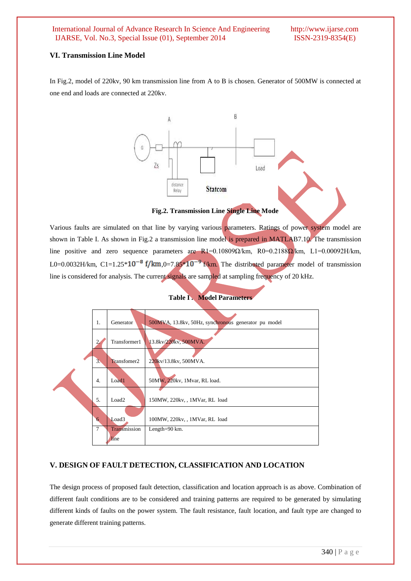#### **VI. Transmission Line Model**

In Fig.2, model of 220kv, 90 km transmission line from A to B is chosen. Generator of 500MW is connected at one end and loads are connected at 220kv.



#### **Fig.2. Transmission Line Single Line Mode**

Various faults are simulated on that line by varying various parameters. Ratings of power system model are shown in Table I. As shown in Fig.2 a transmission line model is prepared in MATLAB7.10. The transmission line positive and zero sequence parameters are R1=0.10809 $\Omega$ /km, R0=0.2188 $\Omega$ /km, L1=0.00092H/km, L0=0.0032H/km, C1=1.25\*10<sup>-8</sup> f/km,0=7.85\*10<sup>-9</sup> f/km. The distributed parameter model of transmission line is considered for analysis. The current signals are sampled at sampling frequency of 20 kHz.



#### **Table I. Model Parameter**

#### **V. DESIGN OF FAULT DETECTION, CLASSIFICATION AND LOCATION**

The design process of proposed fault detection, classification and location approach is as above. Combination of different fault conditions are to be considered and training patterns are required to be generated by simulating different kinds of faults on the power system. The fault resistance, fault location, and fault type are changed to generate different training patterns.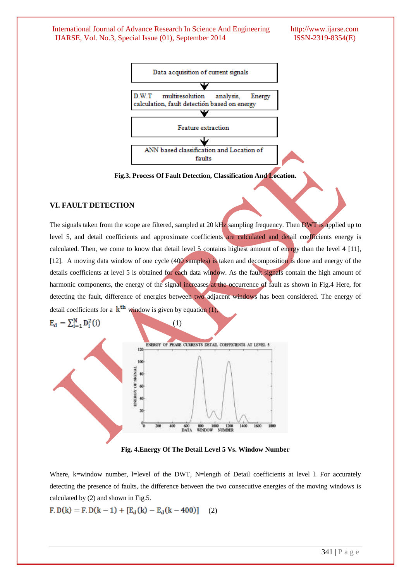

**Fig.3. Process Of Fault Detection, Classification And Location.**

### **VI. FAULT DETECTION**

The signals taken from the scope are filtered, sampled at 20 kHz sampling frequency. Then DWT is applied up to level 5, and detail coefficients and approximate coefficients are calculated and detail coefficients energy is calculated. Then, we come to know that detail level 5 contains highest amount of energy than the level 4 [11], [12]. A moving data window of one cycle (400 samples) is taken and decomposition is done and energy of the details coefficients at level 5 is obtained for each data window. As the fault signals contain the high amount of harmonic components, the energy of the signal increases at the occurrence of fault as shown in Fig.4 Here, for detecting the fault, difference of energies between two adjacent windows has been considered. The energy of detail coefficients for a  $k^{th}$  window is given by equation (1).



Where, k=window number, l=level of the DWT, N=length of Detail coefficients at level l. For accurately detecting the presence of faults, the difference between the two consecutive energies of the moving windows is calculated by (2) and shown in Fig.5.

$$
F. D(k) = F. D(k-1) + [E_d(k) - E_d(k-400)] \quad (2)
$$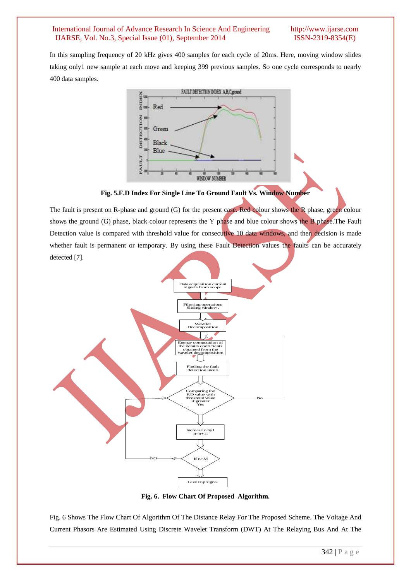In this sampling frequency of 20 kHz gives 400 samples for each cycle of 20ms. Here, moving window slides taking only1 new sample at each move and keeping 399 previous samples. So one cycle corresponds to nearly 400 data samples.



**Fig. 5.F.D Index For Single Line To Ground Fault Vs. Window Number**

The fault is present on R-phase and ground (G) for the present case. Red colour shows the R phase, green colour shows the ground (G) phase, black colour represents the Y phase and blue colour shows the B phase. The Fault Detection value is compared with threshold value for consecutive 10 data windows, and then decision is made whether fault is permanent or temporary. By using these Fault Detection values the faults can be accurately detected [7].



**Fig. 6. Flow Chart Of Proposed Algorithm.**

Fig. 6 Shows The Flow Chart Of Algorithm Of The Distance Relay For The Proposed Scheme. The Voltage And Current Phasors Are Estimated Using Discrete Wavelet Transform (DWT) At The Relaying Bus And At The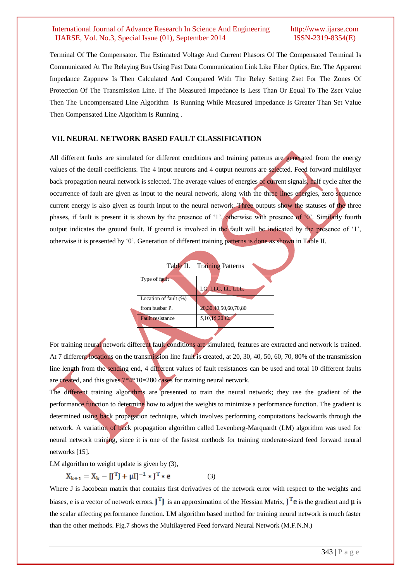Terminal Of The Compensator. The Estimated Voltage And Current Phasors Of The Compensated Terminal Is Communicated At The Relaying Bus Using Fast Data Communication Link Like Fiber Optics, Etc. The Apparent Impedance Zappnew Is Then Calculated And Compared With The Relay Setting Zset For The Zones Of Protection Of The Transmission Line. If The Measured Impedance Is Less Than Or Equal To The Zset Value Then The Uncompensated Line Algorithm Is Running While Measured Impedance Is Greater Than Set Value Then Compensated Line Algorithm Is Running .

### **VII. NEURAL NETWORK BASED FAULT CLASSIFICATION**

All different faults are simulated for different conditions and training patterns are generated from the energy values of the detail coefficients. The 4 input neurons and 4 output neurons are selected. Feed forward multilayer back propagation neural network is selected. The average values of energies of current signals, half cycle after the occurrence of fault are given as input to the neural network, along with the three lines energies, zero sequence current energy is also given as fourth input to the neural network. Three outputs show the statuses of the three phases, if fault is present it is shown by the presence of "1", otherwise with presence of "0". Similarly fourth output indicates the ground fault. If ground is involved in the fault will be indicated by the presence of "1", otherwise it is presented by "0". Generation of different training patterns is done as shown in Table II.



For training neural network different fault conditions are simulated, features are extracted and network is trained. At 7 different locations on the transmission line fault is created, at 20, 30, 40, 50, 60, 70, 80% of the transmission line length from the sending end, 4 different values of fault resistances can be used and total 10 different faults are created, and this gives 7\*4\*10=280 cases for training neural network.

The different training algorithms are presented to train the neural network; they use the gradient of the performance function to determine how to adjust the weights to minimize a performance function. The gradient is determined using back propagation technique, which involves performing computations backwards through the network. A variation of back propagation algorithm called Levenberg-Marquardt (LM) algorithm was used for neural network training, since it is one of the fastest methods for training moderate-sized feed forward neural networks [15].

LM algorithm to weight update is given by (3),

$$
X_{k+1} = X_k - [J^T J + \mu I]^{-1} * J^T * e
$$
 (3)

Where J is Jacobean matrix that contains first derivatives of the network error with respect to the weights and biases, e is a vector of network errors.  $J^T J$  is an approximation of the Hessian Matrix,  $J^T e$  is the gradient and  $\mu$  is the scalar affecting performance function. LM algorithm based method for training neural network is much faster than the other methods. Fig.7 shows the Multilayered Feed forward Neural Network (M.F.N.N.)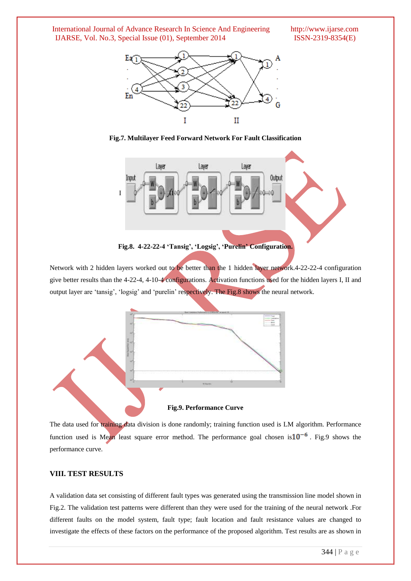**Fig.7. Multilayer Feed Forward Network For Fault Classification**



**Fig.8. 4-22-22-4 'Tansig', 'Logsig', 'Purelin' Configuration.**

Network with 2 hidden layers worked out to be better than the 1 hidden layer network.4-22-22-4 configuration give better results than the 4-22-4, 4-10-4 configurations. Activation functions used for the hidden layers I, II and output layer are 'tansig', 'logsig' and 'purelin' respectively. The Fig.8 shows the neural network.



The data used for training data division is done randomly; training function used is LM algorithm. Performance function used is Mean least square error method. The performance goal chosen is  $10^{-6}$ . Fig.9 shows the performance curve.

#### **VIII. TEST RESULTS**

A validation data set consisting of different fault types was generated using the transmission line model shown in Fig.2. The validation test patterns were different than they were used for the training of the neural network .For different faults on the model system, fault type; fault location and fault resistance values are changed to investigate the effects of these factors on the performance of the proposed algorithm. Test results are as shown in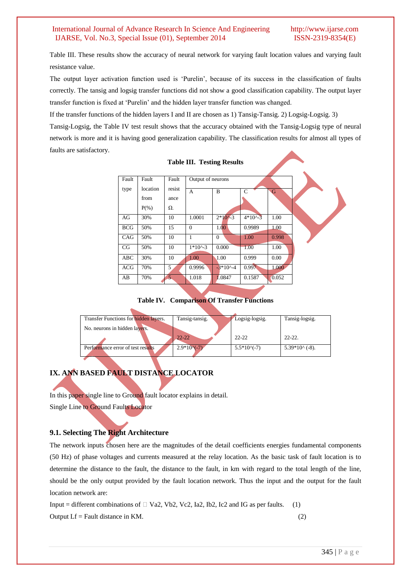Table III. These results show the accuracy of neural network for varying fault location values and varying fault resistance value.

The output layer activation function used is "Purelin", because of its success in the classification of faults correctly. The tansig and logsig transfer functions did not show a good classification capability. The output layer transfer function is fixed at "Purelin" and the hidden layer transfer function was changed.

If the transfer functions of the hidden layers I and II are chosen as 1) Tansig-Tansig. 2) Logsig-Logsig. 3)

Tansig-Logsig, the Table IV test result shows that the accuracy obtained with the Tansig-Logsig type of neural network is more and it is having good generalization capability. The classification results for almost all types of faults are satisfactory.

| Fault      | Fault    | Fault          | Output of neurons            |                     |                            |       |  |
|------------|----------|----------------|------------------------------|---------------------|----------------------------|-------|--|
| type       | location | resist         | A                            | B                   | $\mathbf C$                | G     |  |
|            | from     | ance           |                              |                     |                            |       |  |
|            | $P(\% )$ | $\Omega$ .     |                              |                     |                            |       |  |
| AG         | 30%      | 10             | 1.0001                       | $2*10^{\sim}3$      | $4*10^{\textstyle\wedge}3$ | 1.00  |  |
| <b>BCG</b> | 50%      | 15             | $\Omega$                     | 1.00                | 0.9989                     | 1.00  |  |
| CAG        | 50%      | 10             | $\mathbf{1}$                 | $\Omega$            | 1.00                       | 0.998 |  |
| CG         | 50%      | 10             | $1*10^{\textstyle\wedge} -3$ | 0.000               | 1.00                       | 1.00  |  |
| <b>ABC</b> | 30%      | 10             | 1.00                         | $\sqrt{1.00}$       | 0.999                      | 0.00  |  |
| <b>ACG</b> | 70%      | 5              | 0.9996                       | $-3*10^{\circ} - 4$ | 0.997                      | 1.000 |  |
| AB         | 70%      | 5 <sub>1</sub> | 1.018                        | 1.0847              | 0.1587                     | 0.052 |  |

**Table III. Testing Results**

**Table IV. Comparison Of Transfer Functions**

| Transfer Functions for hidden layers. | Tansig-tansig. | Logsig-logsig. | Tansig-logsig.          |
|---------------------------------------|----------------|----------------|-------------------------|
| No. neurons in hidden layers.         |                |                |                         |
|                                       | $22 - 22$      | $22 - 22$      | $22 - 22$               |
| Performance error of test results     | $2.9*10(-7)$   | $5.5*10(-7)$   | $5.39*10^{\circ}$ (-8). |

# **IX. ANN BASED FAULT DISTANCE LOCATOR**

In this paper single line to Ground fault locator explains in detail.

Single Line to Ground Faults Locator

# **9.1. Selecting The Right Architecture**

The network inputs chosen here are the magnitudes of the detail coefficients energies fundamental components (50 Hz) of phase voltages and currents measured at the relay location. As the basic task of fault location is to determine the distance to the fault, the distance to the fault, in km with regard to the total length of the line, should be the only output provided by the fault location network. Thus the input and the output for the fault location network are:

Input = different combinations of  $\Box$  Va2, Vb2, Vc2, Ia2, Ib2, Ic2 and IG as per faults. (1) Output Lf = Fault distance in KM. (2)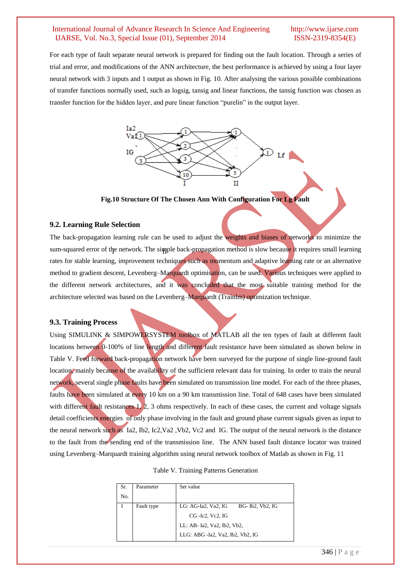For each type of fault separate neural network is prepared for finding out the fault location. Through a series of trial and error, and modifications of the ANN architecture, the best performance is achieved by using a four layer neural network with 3 inputs and 1 output as shown in Fig. 10. After analysing the various possible combinations of transfer functions normally used, such as logsig, tansig and linear functions, the tansig function was chosen as transfer function for the hidden layer, and pure linear function "purelin" in the output layer.



**Fig.10 Structure Of The Chosen Ann With Configuration For Lg Fault**

#### **9.2. Learning Rule Selection**

The back-propagation learning rule can be used to adjust the weights and biases of networks to minimize the sum-squared error of the network. The simple back-propagation method is slow because it requires small learning rates for stable learning, improvement techniques such as momentum and adaptive learning rate or an alternative method to gradient descent, Levenberg–Marquardt optimisation, can be used. Various techniques were applied to the different network architectures, and it was concluded that the most suitable training method for the architecture selected was based on the Levenberg–Marquardt (Trainlm) optimization technique. ١ Ĭ nt des

#### **9.3. Training Process**

Using SIMULINK & SIMPOWERSYSTEM toolbox of MATLAB all the ten types of fault at different fault locations between 0-100% of line length and different fault resistance have been simulated as shown below in Table V. Feed forward back-propagation network have been surveyed for the purpose of single line-ground fault location, mainly because of the availability of the sufficient relevant data for training. In order to train the neural network, several single phase faults have been simulated on transmission line model. For each of the three phases, faults have been simulated at every 10 km on a 90 km transmission line. Total of 648 cases have been simulated with different fault resistances  $1, 2, 3$  ohms respectively. In each of these cases, the current and voltage signals detail coefficients energies of only phase involving in the fault and ground phase current signals given as input to the neural network such as Ia2, Ib2, Ic2,Va2 ,Vb2, Vc2 and IG. The output of the neural network is the distance to the fault from the sending end of the transmission line. The ANN based fault distance locator was trained using Levenberg–Marquardt training algorithm using neural network toolbox of Matlab as shown in Fig. 11

|  | Table V. Training Patterns Generation |  |  |
|--|---------------------------------------|--|--|
|--|---------------------------------------|--|--|

| Sr. | Parameter  | Set value                               |  |  |
|-----|------------|-----------------------------------------|--|--|
| No. |            |                                         |  |  |
|     | Fault type | LG: AG-Ia2, Va2, IG<br>BG- Ib2, Vb2, IG |  |  |
|     |            | CG - Ic2, Vc2, IG                       |  |  |
|     |            | LL: AB- Ia2, Va2, Ib2, Vb2,             |  |  |
|     |            | LLG: ABG -Ia2, Va2, Ib2, Vb2, IG        |  |  |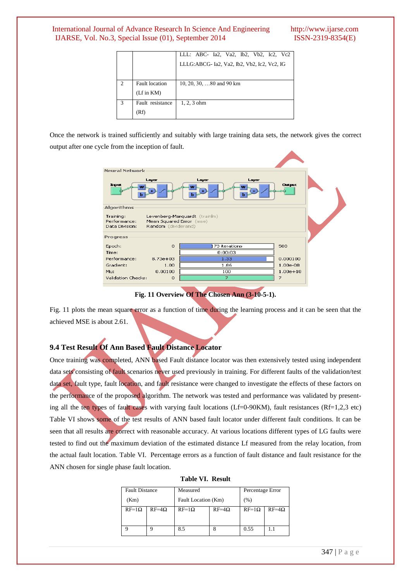|   |                       | LLL: ABC- Ia2, Va2, Ib2, Vb2, Ic2, Vc2      |
|---|-----------------------|---------------------------------------------|
|   |                       | LLLG:ABCG- Ia2, Va2, Ib2, Vb2, Ic2, Vc2, IG |
|   |                       |                                             |
|   | <b>Fault</b> location | 10, 20, 30, $\dots 80$ and 90 km            |
|   | $(Lf$ in $KM$ )       |                                             |
| 3 | Fault resistance      | $1, 2, 3$ ohm                               |
|   | (Rf)                  |                                             |

Once the network is trained sufficiently and suitably with large training data sets, the network gives the correct output after one cycle from the inception of fault.



**Fig. 11 Overview Of The Chosen Ann (3-10-5-1).**

Fig. 11 plots the mean square error as a function of time during the learning process and it can be seen that the achieved MSE is about 2.61.

# **9.4 Test Result Of Ann Based Fault Distance Locator**

Once training was completed, ANN based Fault distance locator was then extensively tested using independent data sets consisting of fault scenarios never used previously in training. For different faults of the validation/test data set, fault type, fault location, and fault resistance were changed to investigate the effects of these factors on the performance of the proposed algorithm. The network was tested and performance was validated by presenting all the ten types of fault cases with varying fault locations (Lf=0-90KM), fault resistances (Rf=1,2,3 etc) Table VI shows some of the test results of ANN based fault locator under different fault conditions. It can be seen that all results are correct with reasonable accuracy. At various locations different types of LG faults were tested to find out the maximum deviation of the estimated distance Lf measured from the relay location, from the actual fault location. Table VI. Percentage errors as a function of fault distance and fault resistance for the ANN chosen for single phase fault location.

|  | Table VI. Result |
|--|------------------|
|  |                  |

| <b>Fault Distance</b> |         | Measured            |              | Percentage Error |         |
|-----------------------|---------|---------------------|--------------|------------------|---------|
| (Km)                  |         | Fault Location (Km) |              | (% )             |         |
| $RF=1\Omega$          | $RF=4Q$ | $RF=1\Omega$        | $RF=4\Omega$ | $RF=1\Omega$     | $RF=4O$ |
|                       |         | 8.5                 |              | 0.55             | 1.1     |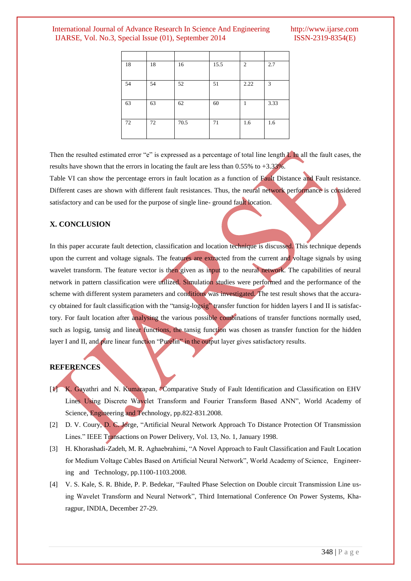| 18 | 18 | 16   | 15.5 | $\overline{2}$ | 2.7  |
|----|----|------|------|----------------|------|
| 54 | 54 | 52   | 51   | 2.22           | 3    |
| 63 | 63 | 62   | 60   | 1              | 3.33 |
| 72 | 72 | 70.5 | 71   | 1.6            | 1.6  |

Then the resulted estimated error "e" is expressed as a percentage of total line length L In all the fault cases, the results have shown that the errors in locating the fault are less than 0.55% to +3.33%.

Table VI can show the percentage errors in fault location as a function of Fault Distance and Fault resistance. Different cases are shown with different fault resistances. Thus, the neural network performance is considered satisfactory and can be used for the purpose of single line- ground fault location.

### **X. CONCLUSION**

In this paper accurate fault detection, classification and location technique is discussed. This technique depends upon the current and voltage signals. The features are extracted from the current and voltage signals by using wavelet transform. The feature vector is then given as input to the neural network. The capabilities of neural network in pattern classification were utilized. Simulation studies were performed and the performance of the scheme with different system parameters and conditions was investigated. The test result shows that the accuracy obtained for fault classification with the "tansig-logsig" transfer function for hidden layers I and II is satisfactory. For fault location after analysing the various possible combinations of transfer functions normally used, such as logsig, tansig and linear functions, the tansig function was chosen as transfer function for the hidden layer I and II, and pure linear function "Purelin" in the output layer gives satisfactory results.

### **REFERENCES**

- [1] K. Gayathri and N. Kumarapan, "Comparative Study of Fault Identification and Classification on EHV Lines Using Discrete Wavelet Transform and Fourier Transform Based ANN", World Academy of Science, Engineering and Technology, pp.822-831.2008.
- [2] D. V. Coury, D. C. Jorge, "Artificial Neural Network Approach To Distance Protection Of Transmission Lines." IEEE Transactions on Power Delivery, Vol. 13, No. 1, January 1998.
- [3] H. Khorashadi-Zadeh, M. R. Aghaebrahimi, "A Novel Approach to Fault Classification and Fault Location for Medium Voltage Cables Based on Artificial Neural Network", World Academy of Science, Engineering and Technology, pp.1100-1103.2008.
- [4] V. S. Kale, S. R. Bhide, P. P. Bedekar, "Faulted Phase Selection on Double circuit Transmission Line using Wavelet Transform and Neural Network", Third International Conference On Power Systems, Kharagpur, INDIA, December 27-29.